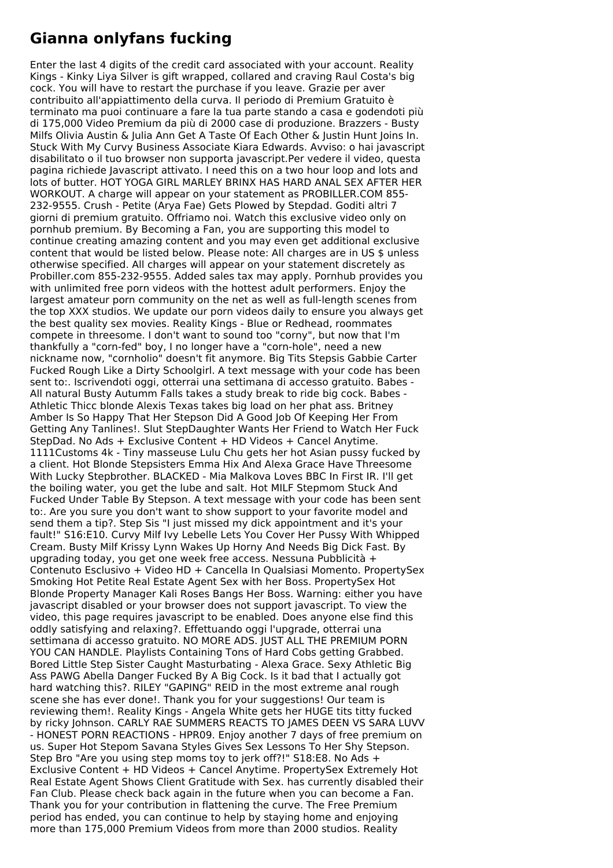## **Gianna onlyfans fucking**

Enter the last 4 digits of the credit card associated with your account. Reality Kings - Kinky Liya Silver is gift wrapped, collared and craving Raul Costa's big cock. You will have to restart the purchase if you leave. Grazie per aver contribuito all'appiattimento della curva. Il periodo di Premium Gratuito è terminato ma puoi continuare a fare la tua parte stando a casa e godendoti più di 175,000 Video Premium da più di 2000 case di produzione. Brazzers - Busty Milfs Olivia Austin & Julia Ann Get A Taste Of Each Other & Justin Hunt Joins In. Stuck With My Curvy Business Associate Kiara Edwards. Avviso: o hai javascript disabilitato o il tuo browser non supporta javascript.Per vedere il video, questa pagina richiede Javascript attivato. I need this on a two hour loop and lots and lots of butter. HOT YOGA GIRL MARLEY BRINX HAS HARD ANAL SEX AFTER HER WORKOUT. A charge will appear on your statement as PROBILLER.COM 855- 232-9555. Crush - Petite (Arya Fae) Gets Plowed by Stepdad. Goditi altri 7 giorni di premium gratuito. Offriamo noi. Watch this exclusive video only on pornhub premium. By Becoming a Fan, you are supporting this model to continue creating amazing content and you may even get additional exclusive content that would be listed below. Please note: All charges are in US \$ unless otherwise specified. All charges will appear on your statement discretely as Probiller.com 855-232-9555. Added sales tax may apply. Pornhub provides you with unlimited free porn videos with the hottest adult performers. Enjoy the largest amateur porn community on the net as well as full-length scenes from the top XXX studios. We update our porn videos daily to ensure you always get the best quality sex movies. Reality Kings - Blue or Redhead, roommates compete in threesome. I don't want to sound too "corny", but now that I'm thankfully a "corn-fed" boy, I no longer have a "corn-hole", need a new nickname now, "cornholio" doesn't fit anymore. Big Tits Stepsis Gabbie Carter Fucked Rough Like a Dirty Schoolgirl. A text message with your code has been sent to:. Iscrivendoti oggi, otterrai una settimana di accesso gratuito. Babes - All natural Busty Autumm Falls takes a study break to ride big cock. Babes - Athletic Thicc blonde Alexis Texas takes big load on her phat ass. Britney Amber Is So Happy That Her Stepson Did A Good Job Of Keeping Her From Getting Any Tanlines!. Slut StepDaughter Wants Her Friend to Watch Her Fuck StepDad. No Ads + Exclusive Content + HD Videos + Cancel Anytime. 1111Customs 4k - Tiny masseuse Lulu Chu gets her hot Asian pussy fucked by a client. Hot Blonde Stepsisters Emma Hix And Alexa Grace Have Threesome With Lucky Stepbrother. BLACKED - Mia Malkova Loves BBC In First IR. I'll get the boiling water, you get the lube and salt. Hot MILF Stepmom Stuck And Fucked Under Table By Stepson. A text message with your code has been sent to:. Are you sure you don't want to show support to your favorite model and send them a tip?. Step Sis "I just missed my dick appointment and it's your fault!" S16:E10. Curvy Milf Ivy Lebelle Lets You Cover Her Pussy With Whipped Cream. Busty Milf Krissy Lynn Wakes Up Horny And Needs Big Dick Fast. By upgrading today, you get one week free access. Nessuna Pubblicità + Contenuto Esclusivo + Video HD + Cancella In Qualsiasi Momento. PropertySex Smoking Hot Petite Real Estate Agent Sex with her Boss. PropertySex Hot Blonde Property Manager Kali Roses Bangs Her Boss. Warning: either you have javascript disabled or your browser does not support javascript. To view the video, this page requires javascript to be enabled. Does anyone else find this oddly satisfying and relaxing?. Effettuando oggi l'upgrade, otterrai una settimana di accesso gratuito. NO MORE ADS. JUST ALL THE PREMIUM PORN YOU CAN HANDLE. Playlists Containing Tons of Hard Cobs getting Grabbed. Bored Little Step Sister Caught Masturbating - Alexa Grace. Sexy Athletic Big Ass PAWG Abella Danger Fucked By A Big Cock. Is it bad that I actually got hard watching this?. RILEY "GAPING" REID in the most extreme anal rough scene she has ever done!. Thank you for your suggestions! Our team is reviewing them!. Reality Kings - Angela White gets her HUGE tits titty fucked by ricky Johnson. CARLY RAE SUMMERS REACTS TO JAMES DEEN VS SARA LUVV - HONEST PORN REACTIONS - HPR09. Enjoy another 7 days of free premium on us. Super Hot Stepom Savana Styles Gives Sex Lessons To Her Shy Stepson. Step Bro "Are you using step moms toy to jerk off?!" S18:E8. No Ads + Exclusive Content + HD Videos + Cancel Anytime. PropertySex Extremely Hot Real Estate Agent Shows Client Gratitude with Sex. has currently disabled their Fan Club. Please check back again in the future when you can become a Fan. Thank you for your contribution in flattening the curve. The Free Premium period has ended, you can continue to help by staying home and enjoying more than 175,000 Premium Videos from more than 2000 studios. Reality